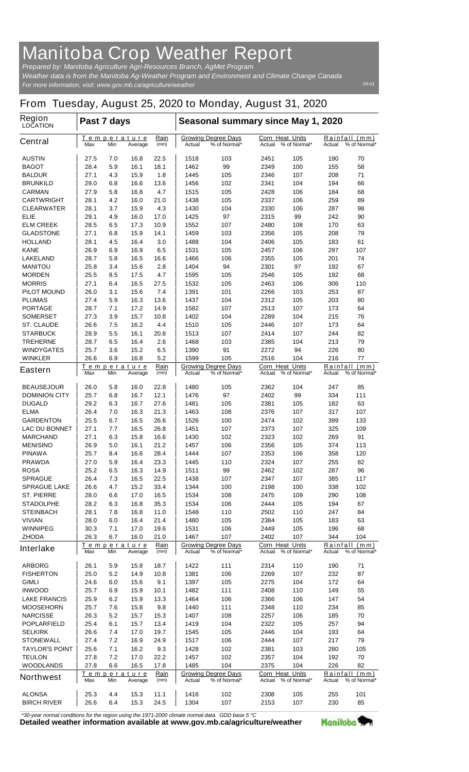## **Manitoba Crop Weather Report**

*For more information, visit: www.gov.mb.ca/agriculture/weather Prepared by: Manitoba Agriculture Agri-Resources Branch, AgMet Program Weather data is from the Manitoba Ag-Weather Program and Environment and Climate Change Canada*

## **From Tuesday, August 25, 2020 to Monday, August 31, 2020**

| Region<br><b>LOCATION</b>           | Past 7 days                                          |                                               |              |                                                      | Seasonal summary since May 1, 2020                   |                                                  |                                                  |                                            |                                         |              |
|-------------------------------------|------------------------------------------------------|-----------------------------------------------|--------------|------------------------------------------------------|------------------------------------------------------|--------------------------------------------------|--------------------------------------------------|--------------------------------------------|-----------------------------------------|--------------|
| <b>Central</b>                      | Rain<br>Temperature<br>Max<br>Min<br>(mm)<br>Average |                                               |              | <b>Growing Degree Days</b><br>% of Normal*<br>Actual |                                                      | <b>Corn Heat Units</b><br>Actual<br>% of Normal* |                                                  | Rainfall<br>(mm)<br>% of Normal*<br>Actual |                                         |              |
| <b>AUSTIN</b>                       | 27.5                                                 | 7.0                                           | 16.8         | 22.5                                                 | 1518                                                 | 103                                              | 2451                                             | 105                                        | 190                                     | 70           |
| <b>BAGOT</b>                        | 28.4                                                 | 5.9                                           | 16.1         | 18.1                                                 | 1462                                                 | 99                                               | 2349                                             | 100                                        | 155                                     | 58           |
| <b>BALDUR</b>                       | 27.1                                                 | 4.3                                           | 15.9         | 1.8                                                  | 1445                                                 | 105                                              | 2346                                             | 107                                        | 208                                     | 71           |
| <b>BRUNKILD</b>                     | 29.0                                                 | 6.8                                           | 16.6         | 13.6                                                 | 1456                                                 | 102                                              | 2341                                             | 104                                        | 194                                     | 66           |
| <b>CARMAN</b>                       | 27.9                                                 | 5.8                                           | 16.8         | 4.7                                                  | 1515                                                 | 105                                              | 2428                                             | 106                                        | 184                                     | 68           |
| <b>CARTWRIGHT</b>                   | 28.1                                                 | 4.2                                           | 16.0         | 21.0                                                 | 1438                                                 | 105                                              | 2337                                             | 106                                        | 259                                     | 89           |
| <b>CLEARWATER</b>                   | 28.1                                                 | 3.7                                           | 15.9         | 4.3                                                  | 1430                                                 | 104                                              | 2330                                             | 106                                        | 287                                     | 98           |
| ELIE                                | 29.1                                                 | 4.9                                           | 16.0         | 17.0                                                 | 1425                                                 | 97                                               | 2315                                             | 99                                         | 242                                     | 90           |
| <b>ELM CREEK</b>                    | 28.5                                                 | 6.5                                           | 17.3         | 10.9                                                 | 1552                                                 | 107                                              | 2480                                             | 108                                        | 170                                     | 63           |
| <b>GLADSTONE</b>                    | 27.1                                                 | 6.8                                           | 15.9         | 14.1                                                 | 1459<br>1488                                         | 103                                              | 2356                                             | 105                                        | 208                                     | 79<br>61     |
| <b>HOLLAND</b><br><b>KANE</b>       | 28.1<br>26.9                                         | 4.5<br>6.9                                    | 16.4<br>16.9 | 3.0<br>6.5                                           | 1531                                                 | 104<br>105                                       | 2406<br>2457                                     | 105<br>106                                 | 183<br>297                              | 107          |
| <b>LAKELAND</b>                     | 28.7                                                 | 5.8                                           | 16.5         | 16.6                                                 | 1466                                                 | 106                                              | 2355                                             | 105                                        | 201                                     | 74           |
| <b>MANITOU</b>                      | 25.8                                                 | 3.4                                           | 15.6         | 2.8                                                  | 1404                                                 | 94                                               | 2301                                             | 97                                         | 192                                     | 67           |
| <b>MORDEN</b>                       | 25.5                                                 | 8.5                                           | 17.5         | 4.7                                                  | 1595                                                 | 105                                              | 2546                                             | 105                                        | 192                                     | 68           |
| <b>MORRIS</b>                       | 27.1                                                 | 6.4                                           | 16.5         | 27.5                                                 | 1532                                                 | 105                                              | 2463                                             | 106                                        | 306                                     | 110          |
| <b>PILOT MOUND</b>                  | 26.0                                                 | 3.1                                           | 15.6         | 7.4                                                  | 1391                                                 | 101                                              | 2266                                             | 103                                        | 253                                     | 87           |
| <b>PLUMAS</b>                       | 27.4                                                 | 5.9                                           | 16.3         | 13.6                                                 | 1437                                                 | 104                                              | 2312                                             | 105                                        | 203                                     | 80           |
| <b>PORTAGE</b>                      | 28.7                                                 | 7.1                                           | 17.2         | 14.9                                                 | 1582                                                 | 107                                              | 2513                                             | 107                                        | 173                                     | 64           |
| <b>SOMERSET</b>                     | 27.3                                                 | 3.9                                           | 15.7         | 10.8                                                 | 1402                                                 | 104                                              | 2289                                             | 104                                        | 215                                     | 76           |
| <b>ST. CLAUDE</b>                   | 26.6                                                 | 7.5                                           | 16.2         | 4.4                                                  | 1510                                                 | 105                                              | 2446                                             | 107                                        | 173                                     | 64           |
| <b>STARBUCK</b>                     | 28.9                                                 | 5.5                                           | 16.1         | 20.8                                                 | 1513                                                 | 107                                              | 2414                                             | 107                                        | 244                                     | 82           |
| <b>TREHERNE</b>                     | 28.7                                                 | 6.5                                           | 16.4         | 2.6                                                  | 1468                                                 | 103                                              | 2385                                             | 104                                        | 213                                     | 79           |
| <b>WINDYGATES</b>                   | 25.7                                                 | 3.6                                           | 15.2         | 6.5                                                  | 1390                                                 | 91                                               | 2272                                             | 94                                         | 226                                     | 80           |
| <b>WINKLER</b>                      | 26.6                                                 | 6.9                                           | 16.8         | 5.2                                                  | 1599                                                 | 105                                              | 2516                                             | 104                                        | 216                                     | 77           |
|                                     |                                                      |                                               | Temperature  | Rain                                                 |                                                      | <b>Growing Degree Days</b>                       | <b>Corn Heat Units</b>                           |                                            | Rainfall                                | (mm)         |
| <b>Eastern</b>                      | Max                                                  | Min                                           | Average      | (mm)                                                 | Actual                                               | % of Normal*                                     | Actual                                           | % of Normal*                               | Actual                                  | % of Normal* |
| <b>BEAUSEJOUR</b>                   | 26.0                                                 | 5.8                                           | 16.0         | 22.8                                                 | 1480                                                 | 105                                              | 2362                                             | 104                                        | 247                                     | 85           |
| <b>DOMINION CITY</b>                | 25.7                                                 | 6.8                                           | 16.7         | 12.1                                                 | 1476                                                 | 97                                               | 2402                                             | 99                                         | 334                                     | 111          |
| <b>DUGALD</b>                       | 29.2                                                 | 6.3                                           | 16.7         | 27.6                                                 | 1481                                                 | 105                                              | 2381                                             | 105                                        | 182                                     | 63           |
| <b>ELMA</b>                         | 26.4                                                 | 7.0                                           | 16.3         | 21.3                                                 | 1463                                                 | 108                                              | 2376                                             | 107                                        | 317                                     | 107          |
| <b>GARDENTON</b>                    | 25.5                                                 | 6.7                                           | 16.5         | 26.6                                                 | 1526                                                 | 100                                              | 2474                                             | 102                                        | 399                                     | 133          |
| <b>LAC DU BONNET</b>                | 27.1                                                 | 7.7                                           | 16.5         | 26.8                                                 | 1451                                                 | 107                                              | 2373                                             | 107                                        | 325                                     | 109          |
| <b>MARCHAND</b>                     | 27.1                                                 | 6.3                                           | 15.8         | 16.6                                                 | 1430                                                 | 102                                              | 2323                                             | 102                                        | 269                                     | 91           |
| <b>MENISINO</b>                     | 26.9                                                 | 5.0                                           | 16.1         | 21.2                                                 | 1457                                                 | 106                                              | 2356                                             | 105                                        | 374                                     | 113          |
| <b>PINAWA</b>                       | 25.7                                                 | 8.4                                           | 16.6         | 28.4                                                 | 1444                                                 | 107                                              | 2353                                             | 106                                        | 358                                     | 120          |
| <b>PRAWDA</b>                       | 27.0                                                 | 5.9                                           | 16.4         | 23.3                                                 | 1445                                                 | 110                                              | 2324                                             | 107                                        | 255                                     | 82           |
| <b>ROSA</b>                         | 25.2                                                 | 6.5                                           | 16.3         | 14.9                                                 | 1511                                                 | 99                                               | 2462                                             | 102                                        | 287                                     | 96           |
| <b>SPRAGUE</b>                      | 26.4                                                 | 7.3                                           | 16.5         | 22.5                                                 | 1438                                                 | 107                                              | 2347                                             | 107                                        | 385                                     | 117          |
| <b>SPRAGUE LAKE</b>                 | 26.6                                                 | 4.7                                           | 15.2         | 33.4                                                 | 1344                                                 | 100                                              | 2198                                             | 100                                        | 338                                     | 102          |
| <b>ST. PIERRE</b>                   | 28.0                                                 | 6.6                                           | 17.0         | 16.5                                                 | 1534                                                 | 108                                              | 2475                                             | 109                                        | 290                                     | 108          |
| <b>STADOLPHE</b>                    | 28.2                                                 | 6.3                                           | 16.8         | 35.3                                                 | 1534                                                 | 106                                              | 2444                                             | 105                                        | 194                                     | 67           |
| <b>STEINBACH</b>                    | 28.1                                                 | 7.8                                           | 16.8         | 11.0                                                 | 1548                                                 | 110                                              | 2502                                             | 110                                        | 247                                     | 84           |
| <b>VIVIAN</b>                       | 28.0                                                 | 6.0                                           | 16.4         | 21.4                                                 | 1480                                                 | 105                                              | 2384                                             | 105                                        | 183                                     | 63           |
| <b>WINNIPEG</b>                     | 30.3                                                 | 7.1                                           | 17.0         | 19.6                                                 | 1531                                                 | 106                                              | 2449                                             | 105                                        | 196                                     | 68           |
| <b>ZHODA</b>                        | 26.3                                                 | 6.7                                           | 16.0         | 21.0                                                 | 1467                                                 | 107                                              | 2402                                             | 107                                        | 344                                     | 104          |
| <b>Interlake</b>                    | Max                                                  | Temperature<br>Min<br>Average                 |              | Rain<br>(mm)                                         | <b>Growing Degree Days</b><br>% of Normal*<br>Actual |                                                  | <b>Corn Heat Units</b><br>% of Normal*<br>Actual |                                            | Rainfall (mm)<br>% of Normal*<br>Actual |              |
| <b>ARBORG</b>                       | 26.1                                                 | 5.9                                           | 15.8         | 18.7                                                 | 1422                                                 | 111                                              | 2314                                             | 110                                        | 190                                     | 71           |
| <b>FISHERTON</b>                    | 25.0                                                 | 5.2                                           | 14.9         | 10.8                                                 | 1381                                                 | 106                                              | 2269                                             | 107                                        | 232                                     | 87           |
| <b>GIMLI</b>                        | 24.6                                                 | 6.0                                           | 15.6         | 9.1                                                  | 1397                                                 | 105                                              | 2275                                             | 104                                        | 172                                     | 64           |
| <b>INWOOD</b>                       | 25.7                                                 | 6.9                                           | 15.9         | 10.1                                                 | 1482                                                 | 111                                              | 2408                                             | 110                                        | 149                                     | 55           |
| <b>LAKE FRANCIS</b>                 | 25.9                                                 | 6.2                                           | 15.9         | 13.3                                                 | 1464                                                 | 106                                              | 2366                                             | 106                                        | 147                                     | 54           |
| <b>MOOSEHORN</b>                    | 25.7                                                 | 7.6                                           | 15.8         | 9.8                                                  | 1440                                                 | 111                                              | 2348                                             | 110                                        | 234                                     | 85           |
| <b>NARCISSE</b>                     | 26.3                                                 | 5.2                                           | 15.7         | 15.3                                                 | 1407                                                 | 108                                              | 2257                                             | 106                                        | 185                                     | 70           |
| <b>POPLARFIELD</b>                  | 25.4                                                 | 6.1                                           | 15.7         | 13.4                                                 | 1419                                                 | 104                                              | 2322                                             | 105                                        | 257                                     | 94           |
| <b>SELKIRK</b>                      | 26.6                                                 | 7.4                                           | 17.0         | 19.7                                                 | 1545                                                 | 105                                              | 2446                                             | 104                                        | 193                                     | 64           |
| <b>STONEWALL</b>                    | 27.4                                                 | 7.2                                           | 16.9         | 24.9                                                 | 1517                                                 | 106                                              | 2444                                             | 107                                        | 217                                     | 79           |
| <b>TAYLOR'S POINT</b>               | 25.6                                                 | 7.1                                           | 16.2         | 9.3                                                  | 1428                                                 | 102                                              | 2381                                             | 103                                        | 280                                     | 105          |
| <b>TEULON</b>                       | 27.8                                                 | 7.2                                           | 17.0         | 22.2                                                 | 1457                                                 | 102                                              | 2357                                             | 104                                        | 192                                     | 70           |
| <b>WOODLANDS</b>                    | 27.8                                                 | 6.6                                           | 16.5         | 17.8                                                 | 1485                                                 | 104                                              | 2375                                             | 104                                        | 226                                     | 82           |
| <b>Northwest</b>                    | Max                                                  | Rain<br>Temperature<br>(mm)<br>Min<br>Average |              |                                                      | Actual                                               | <b>Growing Degree Days</b><br>% of Normal*       | <b>Corn Heat Units</b><br>Actual                 | % of Normal*                               | Rainfall (mm)<br>% of Normal*<br>Actual |              |
|                                     |                                                      |                                               |              |                                                      |                                                      |                                                  |                                                  |                                            |                                         |              |
| <b>ALONSA</b><br><b>BIRCH RIVER</b> | 25.3<br>26.6                                         | 4.4<br>6.4                                    | 15.3<br>15.3 | 11.1<br>24.5                                         | 1416<br>1304                                         | 102<br>107                                       | 2308<br>2153                                     | 105<br>107                                 | 255<br>230                              | 101<br>85    |
|                                     |                                                      |                                               |              |                                                      |                                                      |                                                  |                                                  |                                            |                                         |              |

*\*30-year normal conditions for the region using the 1971-2000 climate normal data. GDD base 5 °C*<br>Detailed weather information available at www.gov.mb.ca/agriculture/weather

Manitoba<sup>9</sup>